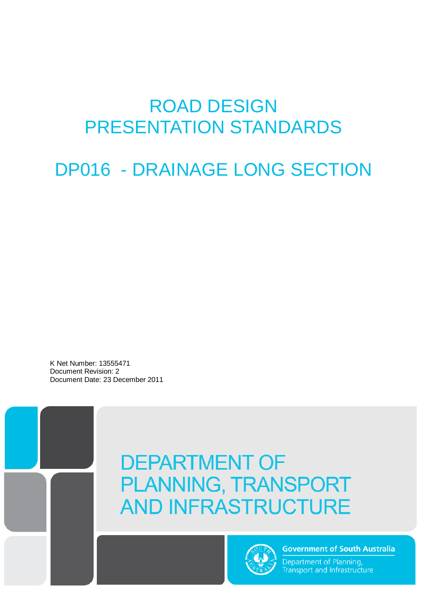# ROAD DESIGN PRESENTATION STANDARDS

DP016 - DRAINAGE LONG SECTION

K Net Number: 13555471 Document Revision: 2 Document Date: 23 December 2011

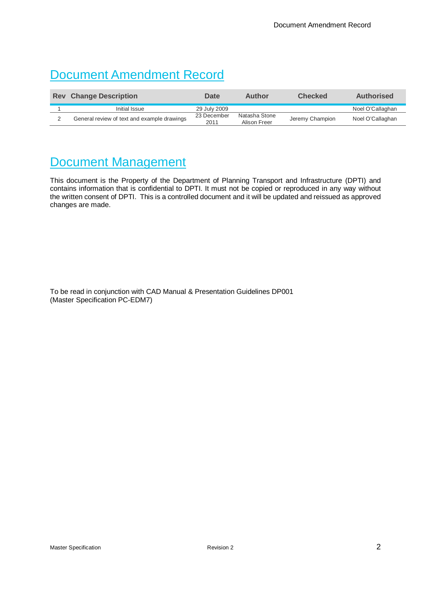## Document Amendment Record

| <b>Change Description</b><br><b>Rev</b> |                                             | Date                | Author                        | <b>Checked</b>  | <b>Authorised</b> |
|-----------------------------------------|---------------------------------------------|---------------------|-------------------------------|-----------------|-------------------|
|                                         | Initial Issue                               | 29 July 2009        |                               |                 | Noel O'Callaghan  |
|                                         | General review of text and example drawings | 23 December<br>2011 | Natasha Stone<br>Alison Freer | Jeremy Champion | Noel O'Callaghan  |

### Document Management

This document is the Property of the Department of Planning Transport and Infrastructure (DPTI) and contains information that is confidential to DPTI. It must not be copied or reproduced in any way without the written consent of DPTI. This is a controlled document and it will be updated and reissued as approved changes are made.

To be read in conjunction with CAD Manual & Presentation Guidelines DP001 (Master Specification PC-EDM7)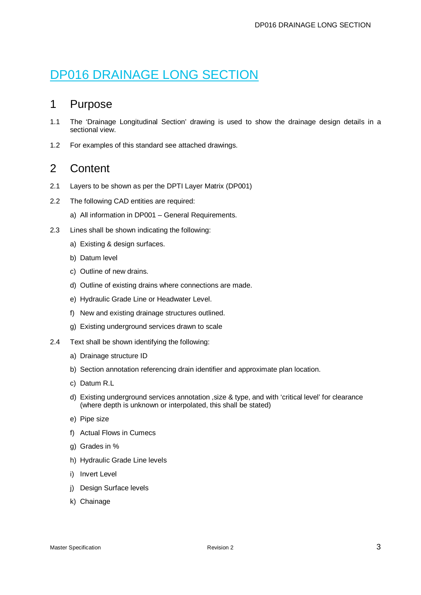## DP016 DRAINAGE LONG SECTION

#### 1 Purpose

- 1.1 The 'Drainage Longitudinal Section' drawing is used to show the drainage design details in a sectional view.
- 1.2 For examples of this standard see attached drawings.

#### 2 Content

- 2.1 Layers to be shown as per the DPTI Layer Matrix (DP001)
- 2.2 The following CAD entities are required:
	- a) All information in DP001 General Requirements.
- 2.3 Lines shall be shown indicating the following:
	- a) Existing & design surfaces.
	- b) Datum level
	- c) Outline of new drains.
	- d) Outline of existing drains where connections are made.
	- e) Hydraulic Grade Line or Headwater Level.
	- f) New and existing drainage structures outlined.
	- g) Existing underground services drawn to scale
- 2.4 Text shall be shown identifying the following:
	- a) Drainage structure ID
	- b) Section annotation referencing drain identifier and approximate plan location.
	- c) Datum R.L
	- d) Existing underground services annotation ,size & type, and with 'critical level' for clearance (where depth is unknown or interpolated, this shall be stated)
	- e) Pipe size
	- f) Actual Flows in Cumecs
	- g) Grades in %
	- h) Hydraulic Grade Line levels
	- i) Invert Level
	- j) Design Surface levels
	- k) Chainage